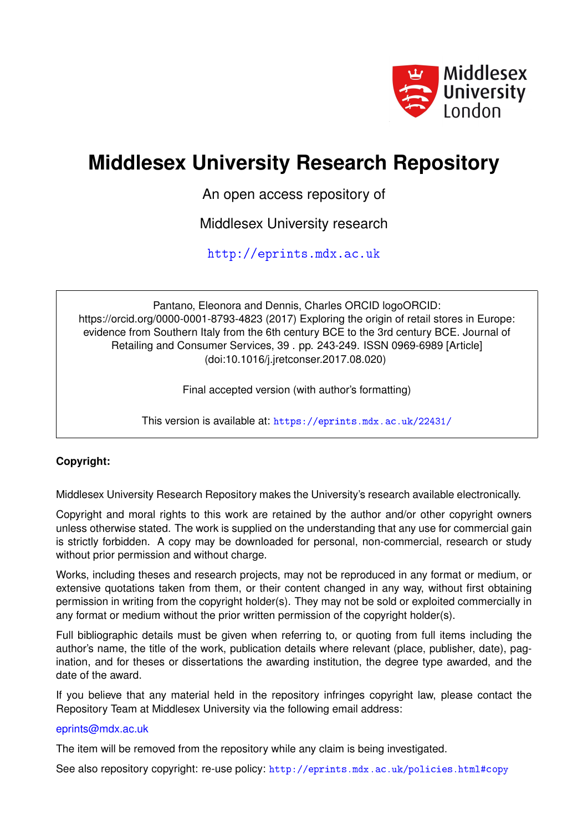

# **Middlesex University Research Repository**

An open access repository of

Middlesex University research

<http://eprints.mdx.ac.uk>

Pantano, Eleonora and Dennis, Charles ORCID logoORCID: https://orcid.org/0000-0001-8793-4823 (2017) Exploring the origin of retail stores in Europe: evidence from Southern Italy from the 6th century BCE to the 3rd century BCE. Journal of Retailing and Consumer Services, 39 . pp. 243-249. ISSN 0969-6989 [Article] (doi:10.1016/j.jretconser.2017.08.020)

Final accepted version (with author's formatting)

This version is available at: <https://eprints.mdx.ac.uk/22431/>

### **Copyright:**

Middlesex University Research Repository makes the University's research available electronically.

Copyright and moral rights to this work are retained by the author and/or other copyright owners unless otherwise stated. The work is supplied on the understanding that any use for commercial gain is strictly forbidden. A copy may be downloaded for personal, non-commercial, research or study without prior permission and without charge.

Works, including theses and research projects, may not be reproduced in any format or medium, or extensive quotations taken from them, or their content changed in any way, without first obtaining permission in writing from the copyright holder(s). They may not be sold or exploited commercially in any format or medium without the prior written permission of the copyright holder(s).

Full bibliographic details must be given when referring to, or quoting from full items including the author's name, the title of the work, publication details where relevant (place, publisher, date), pagination, and for theses or dissertations the awarding institution, the degree type awarded, and the date of the award.

If you believe that any material held in the repository infringes copyright law, please contact the Repository Team at Middlesex University via the following email address:

#### [eprints@mdx.ac.uk](mailto:eprints@mdx.ac.uk)

The item will be removed from the repository while any claim is being investigated.

See also repository copyright: re-use policy: <http://eprints.mdx.ac.uk/policies.html#copy>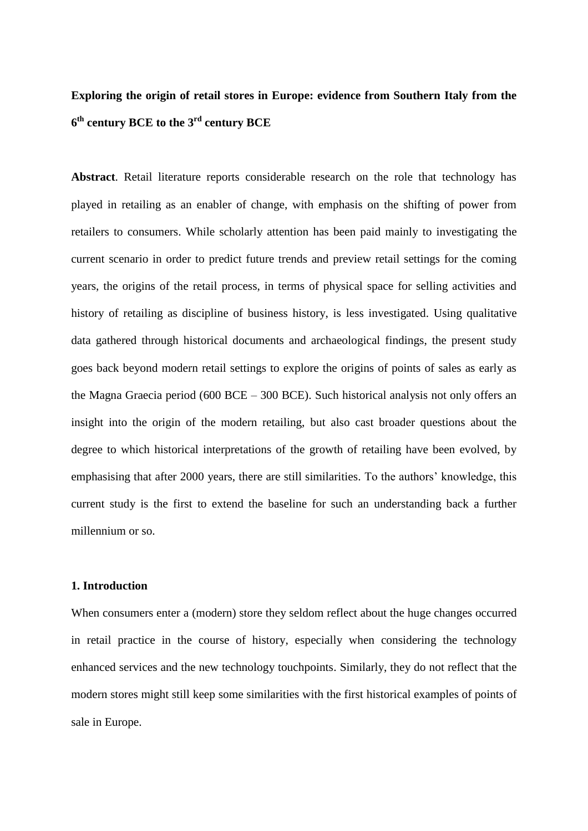## **Exploring the origin of retail stores in Europe: evidence from Southern Italy from the 6 th century BCE to the 3 rd century BCE**

**Abstract**. Retail literature reports considerable research on the role that technology has played in retailing as an enabler of change, with emphasis on the shifting of power from retailers to consumers. While scholarly attention has been paid mainly to investigating the current scenario in order to predict future trends and preview retail settings for the coming years, the origins of the retail process, in terms of physical space for selling activities and history of retailing as discipline of business history, is less investigated. Using qualitative data gathered through historical documents and archaeological findings, the present study goes back beyond modern retail settings to explore the origins of points of sales as early as the Magna Graecia period (600 BCE – 300 BCE). Such historical analysis not only offers an insight into the origin of the modern retailing, but also cast broader questions about the degree to which historical interpretations of the growth of retailing have been evolved, by emphasising that after 2000 years, there are still similarities. To the authors' knowledge, this current study is the first to extend the baseline for such an understanding back a further millennium or so.

#### **1. Introduction**

When consumers enter a (modern) store they seldom reflect about the huge changes occurred in retail practice in the course of history, especially when considering the technology enhanced services and the new technology touchpoints. Similarly, they do not reflect that the modern stores might still keep some similarities with the first historical examples of points of sale in Europe.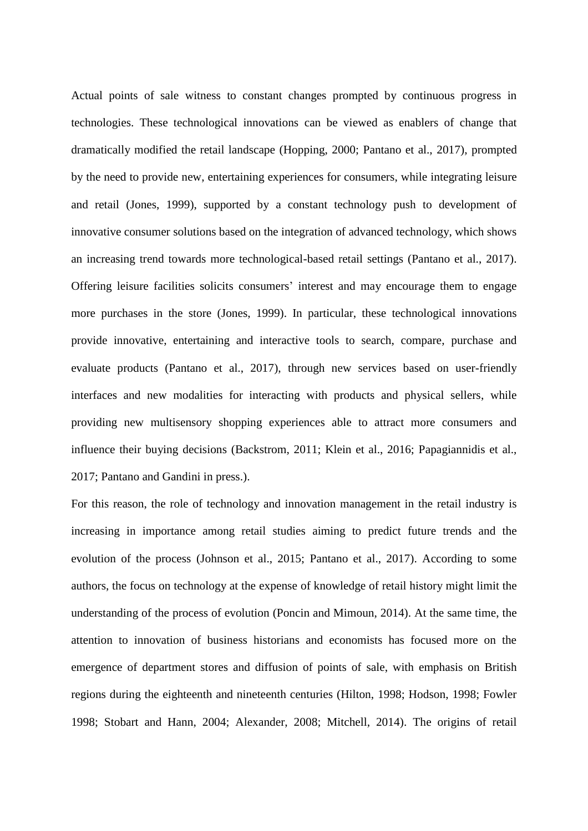Actual points of sale witness to constant changes prompted by continuous progress in technologies. These technological innovations can be viewed as enablers of change that dramatically modified the retail landscape (Hopping, 2000; Pantano et al., 2017), prompted by the need to provide new, entertaining experiences for consumers, while integrating leisure and retail (Jones, 1999), supported by a constant technology push to development of innovative consumer solutions based on the integration of advanced technology, which shows an increasing trend towards more technological-based retail settings (Pantano et al., 2017). Offering leisure facilities solicits consumers' interest and may encourage them to engage more purchases in the store (Jones, 1999). In particular, these technological innovations provide innovative, entertaining and interactive tools to search, compare, purchase and evaluate products (Pantano et al., 2017), through new services based on user-friendly interfaces and new modalities for interacting with products and physical sellers, while providing new multisensory shopping experiences able to attract more consumers and influence their buying decisions (Backstrom, 2011; Klein et al., 2016; Papagiannidis et al., 2017; Pantano and Gandini in press.).

For this reason, the role of technology and innovation management in the retail industry is increasing in importance among retail studies aiming to predict future trends and the evolution of the process (Johnson et al., 2015; Pantano et al., 2017). According to some authors, the focus on technology at the expense of knowledge of retail history might limit the understanding of the process of evolution (Poncin and Mimoun, 2014). At the same time, the attention to innovation of business historians and economists has focused more on the emergence of department stores and diffusion of points of sale, with emphasis on British regions during the eighteenth and nineteenth centuries (Hilton, 1998; Hodson, 1998; Fowler 1998; Stobart and Hann, 2004; Alexander, 2008; Mitchell, 2014). The origins of retail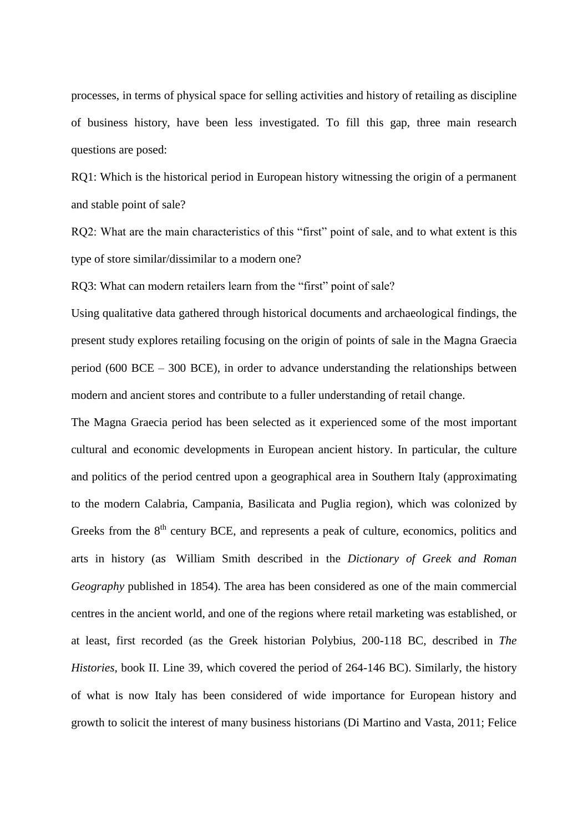processes, in terms of physical space for selling activities and history of retailing as discipline of business history, have been less investigated. To fill this gap, three main research questions are posed:

RQ1: Which is the historical period in European history witnessing the origin of a permanent and stable point of sale?

RQ2: What are the main characteristics of this "first" point of sale, and to what extent is this type of store similar/dissimilar to a modern one?

RQ3: What can modern retailers learn from the "first" point of sale?

Using qualitative data gathered through historical documents and archaeological findings, the present study explores retailing focusing on the origin of points of sale in the Magna Graecia period (600 BCE – 300 BCE), in order to advance understanding the relationships between modern and ancient stores and contribute to a fuller understanding of retail change.

The Magna Graecia period has been selected as it experienced some of the most important cultural and economic developments in European ancient history. In particular, the culture and politics of the period centred upon a geographical area in Southern Italy (approximating to the modern Calabria, Campania, Basilicata and Puglia region), which was colonized by Greeks from the  $8<sup>th</sup>$  century BCE, and represents a peak of culture, economics, politics and arts in history (as William Smith described in the *Dictionary of Greek and Roman Geography* published in 1854). The area has been considered as one of the main commercial centres in the ancient world, and one of the regions where retail marketing was established, or at least, first recorded (as the Greek historian Polybius, 200-118 BC, described in *The Histories*, book II. Line 39, which covered the period of 264-146 BC). Similarly, the history of what is now Italy has been considered of wide importance for European history and growth to solicit the interest of many business historians (Di Martino and Vasta, 2011; Felice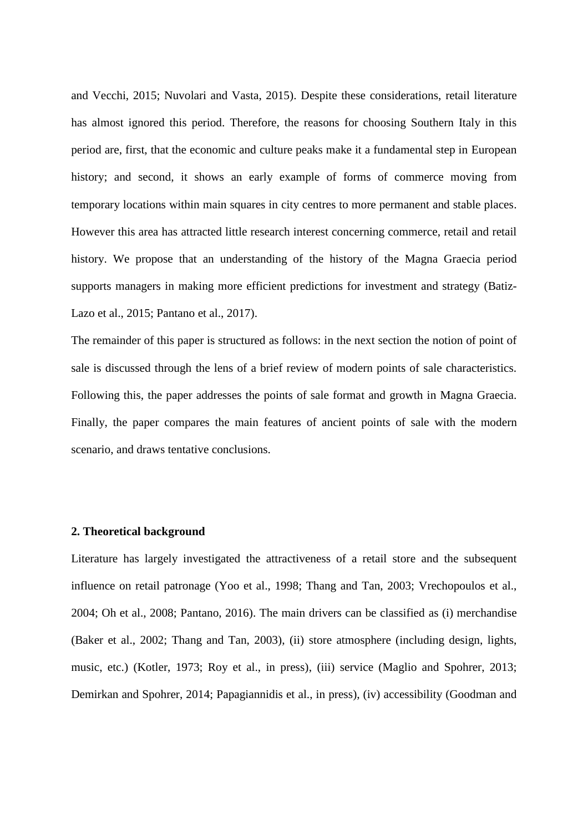and Vecchi, 2015; Nuvolari and Vasta, 2015). Despite these considerations, retail literature has almost ignored this period. Therefore, the reasons for choosing Southern Italy in this period are, first, that the economic and culture peaks make it a fundamental step in European history; and second, it shows an early example of forms of commerce moving from temporary locations within main squares in city centres to more permanent and stable places. However this area has attracted little research interest concerning commerce, retail and retail history. We propose that an understanding of the history of the Magna Graecia period supports managers in making more efficient predictions for investment and strategy (Batiz-Lazo et al., 2015; Pantano et al., 2017).

The remainder of this paper is structured as follows: in the next section the notion of point of sale is discussed through the lens of a brief review of modern points of sale characteristics. Following this, the paper addresses the points of sale format and growth in Magna Graecia. Finally, the paper compares the main features of ancient points of sale with the modern scenario, and draws tentative conclusions.

#### **2. Theoretical background**

Literature has largely investigated the attractiveness of a retail store and the subsequent influence on retail patronage (Yoo et al., 1998; Thang and Tan, 2003; Vrechopoulos et al., 2004; Oh et al., 2008; Pantano, 2016). The main drivers can be classified as (i) merchandise (Baker et al., 2002; Thang and Tan, 2003), (ii) store atmosphere (including design, lights, music, etc.) (Kotler, 1973; Roy et al., in press), (iii) service (Maglio and Spohrer, 2013; Demirkan and Spohrer, 2014; Papagiannidis et al., in press), (iv) accessibility (Goodman and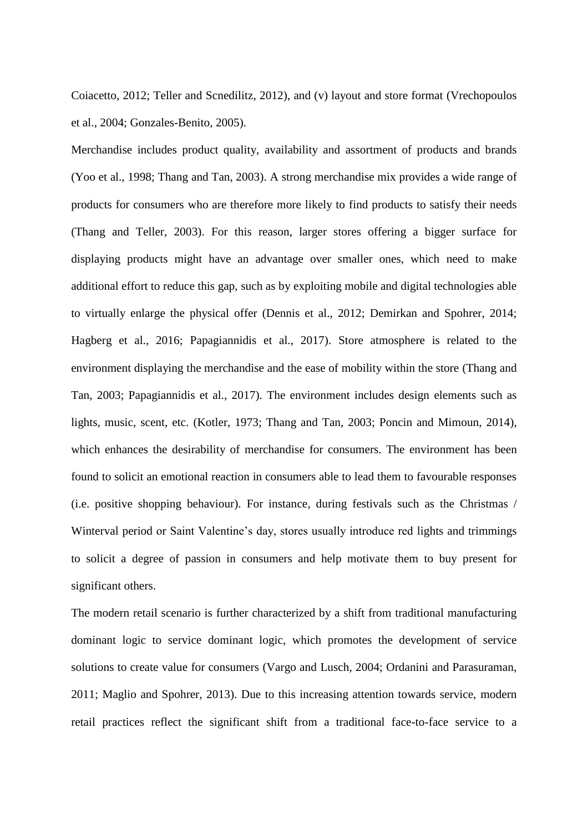Coiacetto, 2012; Teller and Scnedilitz, 2012), and (v) layout and store format (Vrechopoulos et al., 2004; Gonzales-Benito, 2005).

Merchandise includes product quality, availability and assortment of products and brands (Yoo et al., 1998; Thang and Tan, 2003). A strong merchandise mix provides a wide range of products for consumers who are therefore more likely to find products to satisfy their needs (Thang and Teller, 2003). For this reason, larger stores offering a bigger surface for displaying products might have an advantage over smaller ones, which need to make additional effort to reduce this gap, such as by exploiting mobile and digital technologies able to virtually enlarge the physical offer (Dennis et al., 2012; Demirkan and Spohrer, 2014; Hagberg et al., 2016; Papagiannidis et al., 2017). Store atmosphere is related to the environment displaying the merchandise and the ease of mobility within the store (Thang and Tan, 2003; Papagiannidis et al., 2017). The environment includes design elements such as lights, music, scent, etc. (Kotler, 1973; Thang and Tan, 2003; Poncin and Mimoun, 2014), which enhances the desirability of merchandise for consumers. The environment has been found to solicit an emotional reaction in consumers able to lead them to favourable responses (i.e. positive shopping behaviour). For instance, during festivals such as the Christmas / Winterval period or Saint Valentine's day, stores usually introduce red lights and trimmings to solicit a degree of passion in consumers and help motivate them to buy present for significant others.

The modern retail scenario is further characterized by a shift from traditional manufacturing dominant logic to service dominant logic, which promotes the development of service solutions to create value for consumers (Vargo and Lusch, 2004; Ordanini and Parasuraman, 2011; Maglio and Spohrer, 2013). Due to this increasing attention towards service, modern retail practices reflect the significant shift from a traditional face-to-face service to a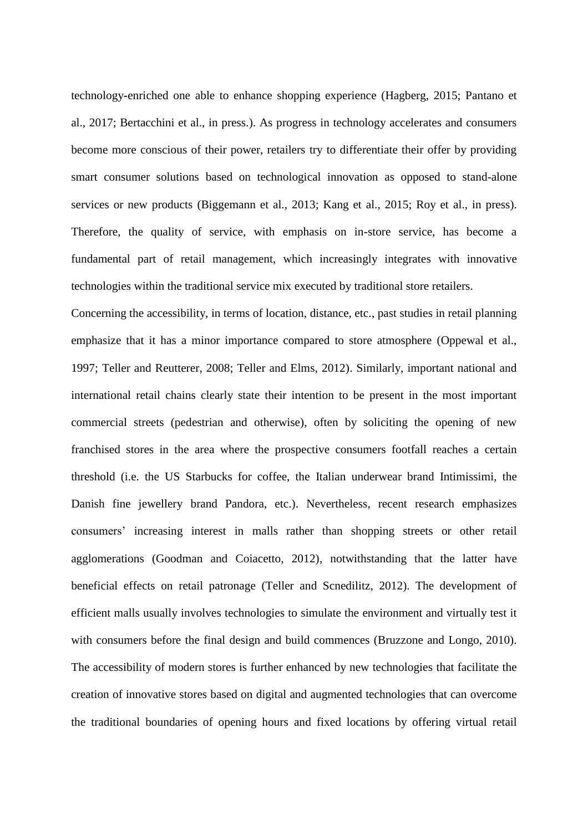technology-enriched one able to enhance shopping experience (Hagberg, 2015; Pantano et al., 2017; Bertacchini et al., in press.). As progress in technology accelerates and consumers become more conscious of their power, retailers try to differentiate their offer by providing smart consumer solutions based on technological innovation as opposed to stand-alone services or new products (Biggemann et al., 2013; Kang et al., 2015; Roy et al., in press). Therefore, the quality of service, with emphasis on in-store service, has become a fundamental part of retail management, which increasingly integrates with innovative technologies within the traditional service mix executed by traditional store retailers.

Concerning the accessibility, in terms of location, distance, etc., past studies in retail planning emphasize that it has a minor importance compared to store atmosphere (Oppewal et al., 1997; Teller and Reutterer, 2008; Teller and Elms, 2012). Similarly, important national and international retail chains clearly state their intention to be present in the most important commercial streets (pedestrian and otherwise), often by soliciting the opening of new franchised stores in the area where the prospective consumers footfall reaches a certain threshold (i.e. the US Starbucks for coffee, the Italian underwear brand Intimissimi, the Danish fine jewellery brand Pandora, etc.). Nevertheless, recent research emphasizes consumers' increasing interest in malls rather than shopping streets or other retail agglomerations (Goodman and Coiacetto, 2012), notwithstanding that the latter have beneficial effects on retail patronage (Teller and Scnedilitz, 2012). The development of efficient malls usually involves technologies to simulate the environment and virtually test it with consumers before the final design and build commences (Bruzzone and Longo, 2010). The accessibility of modern stores is further enhanced by new technologies that facilitate the creation of innovative stores based on digital and augmented technologies that can overcome the traditional boundaries of opening hours and fixed locations by offering virtual retail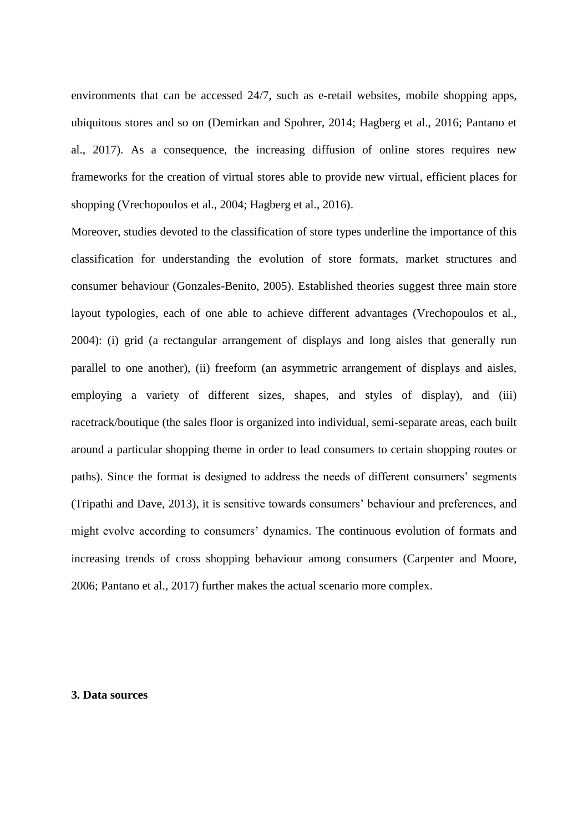environments that can be accessed 24/7, such as e-retail websites, mobile shopping apps, ubiquitous stores and so on (Demirkan and Spohrer, 2014; Hagberg et al., 2016; Pantano et al., 2017). As a consequence, the increasing diffusion of online stores requires new frameworks for the creation of virtual stores able to provide new virtual, efficient places for shopping (Vrechopoulos et al., 2004; Hagberg et al., 2016).

Moreover, studies devoted to the classification of store types underline the importance of this classification for understanding the evolution of store formats, market structures and consumer behaviour (Gonzales-Benito, 2005). Established theories suggest three main store layout typologies, each of one able to achieve different advantages (Vrechopoulos et al., 2004): (i) grid (a rectangular arrangement of displays and long aisles that generally run parallel to one another), (ii) freeform (an asymmetric arrangement of displays and aisles, employing a variety of different sizes, shapes, and styles of display), and (iii) racetrack/boutique (the sales floor is organized into individual, semi-separate areas, each built around a particular shopping theme in order to lead consumers to certain shopping routes or paths). Since the format is designed to address the needs of different consumers' segments (Tripathi and Dave, 2013), it is sensitive towards consumers' behaviour and preferences, and might evolve according to consumers' dynamics. The continuous evolution of formats and increasing trends of cross shopping behaviour among consumers (Carpenter and Moore, 2006; Pantano et al., 2017) further makes the actual scenario more complex.

#### **3. Data sources**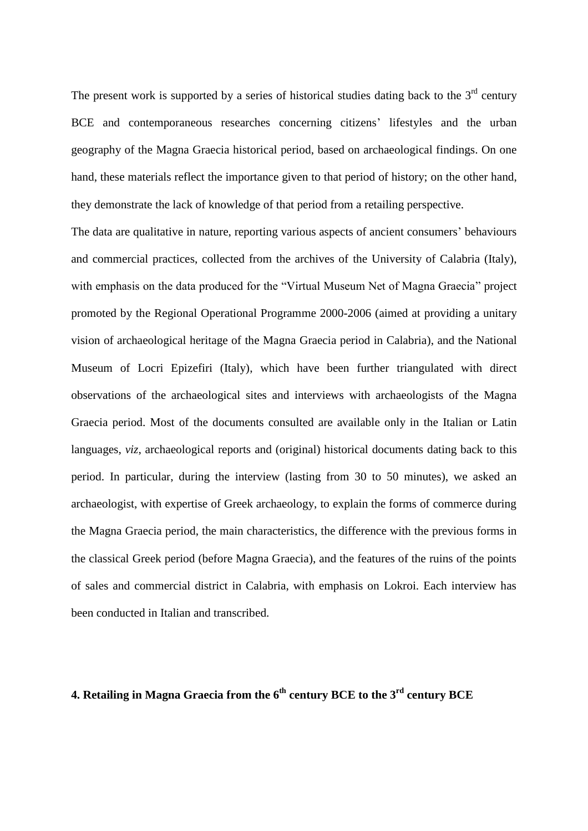The present work is supported by a series of historical studies dating back to the  $3<sup>rd</sup>$  century BCE and contemporaneous researches concerning citizens' lifestyles and the urban geography of the Magna Graecia historical period, based on archaeological findings. On one hand, these materials reflect the importance given to that period of history; on the other hand, they demonstrate the lack of knowledge of that period from a retailing perspective.

The data are qualitative in nature, reporting various aspects of ancient consumers' behaviours and commercial practices, collected from the archives of the University of Calabria (Italy), with emphasis on the data produced for the "Virtual Museum Net of Magna Graecia" project promoted by the Regional Operational Programme 2000-2006 (aimed at providing a unitary vision of archaeological heritage of the Magna Graecia period in Calabria), and the National Museum of Locri Epizefiri (Italy), which have been further triangulated with direct observations of the archaeological sites and interviews with archaeologists of the Magna Graecia period. Most of the documents consulted are available only in the Italian or Latin languages, *viz*, archaeological reports and (original) historical documents dating back to this period. In particular, during the interview (lasting from 30 to 50 minutes), we asked an archaeologist, with expertise of Greek archaeology, to explain the forms of commerce during the Magna Graecia period, the main characteristics, the difference with the previous forms in the classical Greek period (before Magna Graecia), and the features of the ruins of the points of sales and commercial district in Calabria, with emphasis on Lokroi. Each interview has been conducted in Italian and transcribed.

## **4. Retailing in Magna Graecia from the 6th century BCE to the 3rd century BCE**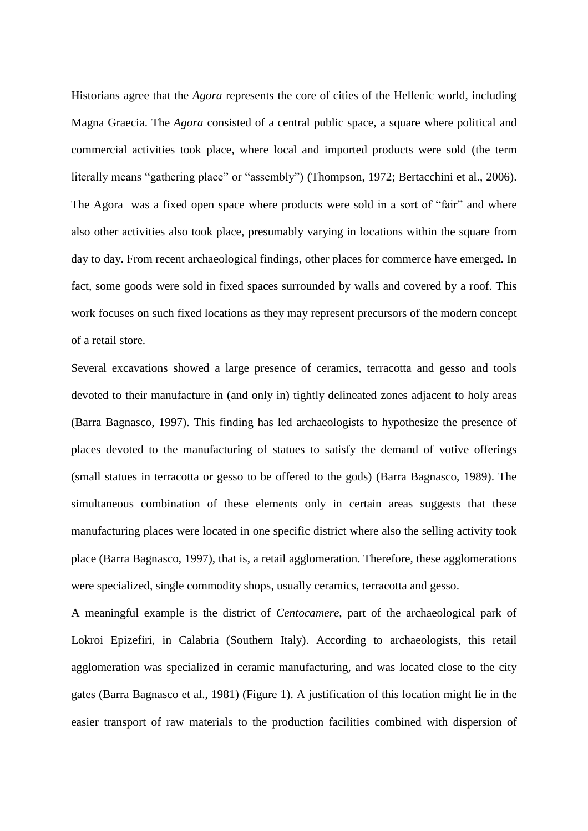Historians agree that the *Agora* represents the core of cities of the Hellenic world, including Magna Graecia. The *Agora* consisted of a central public space, a square where political and commercial activities took place, where local and imported products were sold (the term literally means "gathering place" or "assembly") (Thompson, 1972; Bertacchini et al., 2006). The Agora was a fixed open space where products were sold in a sort of "fair" and where also other activities also took place, presumably varying in locations within the square from day to day. From recent archaeological findings, other places for commerce have emerged. In fact, some goods were sold in fixed spaces surrounded by walls and covered by a roof. This work focuses on such fixed locations as they may represent precursors of the modern concept of a retail store.

Several excavations showed a large presence of ceramics, terracotta and gesso and tools devoted to their manufacture in (and only in) tightly delineated zones adjacent to holy areas (Barra Bagnasco, 1997). This finding has led archaeologists to hypothesize the presence of places devoted to the manufacturing of statues to satisfy the demand of votive offerings (small statues in terracotta or gesso to be offered to the gods) (Barra Bagnasco, 1989). The simultaneous combination of these elements only in certain areas suggests that these manufacturing places were located in one specific district where also the selling activity took place (Barra Bagnasco, 1997), that is, a retail agglomeration. Therefore, these agglomerations were specialized, single commodity shops, usually ceramics, terracotta and gesso.

A meaningful example is the district of *Centocamere*, part of the archaeological park of Lokroi Epizefiri, in Calabria (Southern Italy). According to archaeologists, this retail agglomeration was specialized in ceramic manufacturing, and was located close to the city gates (Barra Bagnasco et al., 1981) (Figure 1). A justification of this location might lie in the easier transport of raw materials to the production facilities combined with dispersion of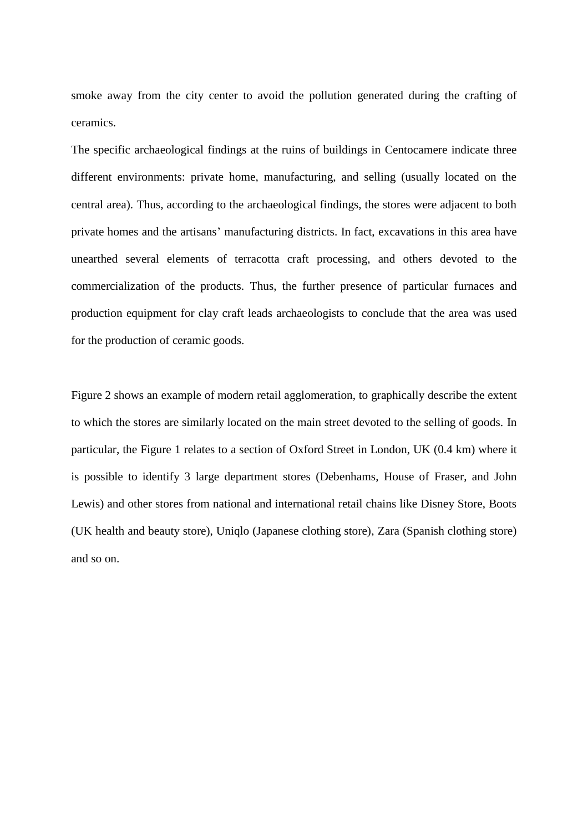smoke away from the city center to avoid the pollution generated during the crafting of ceramics.

The specific archaeological findings at the ruins of buildings in Centocamere indicate three different environments: private home, manufacturing, and selling (usually located on the central area). Thus, according to the archaeological findings, the stores were adjacent to both private homes and the artisans' manufacturing districts. In fact, excavations in this area have unearthed several elements of terracotta craft processing, and others devoted to the commercialization of the products. Thus, the further presence of particular furnaces and production equipment for clay craft leads archaeologists to conclude that the area was used for the production of ceramic goods.

Figure 2 shows an example of modern retail agglomeration, to graphically describe the extent to which the stores are similarly located on the main street devoted to the selling of goods. In particular, the Figure 1 relates to a section of Oxford Street in London, UK (0.4 km) where it is possible to identify 3 large department stores (Debenhams, House of Fraser, and John Lewis) and other stores from national and international retail chains like Disney Store, Boots (UK health and beauty store), Uniqlo (Japanese clothing store), Zara (Spanish clothing store) and so on.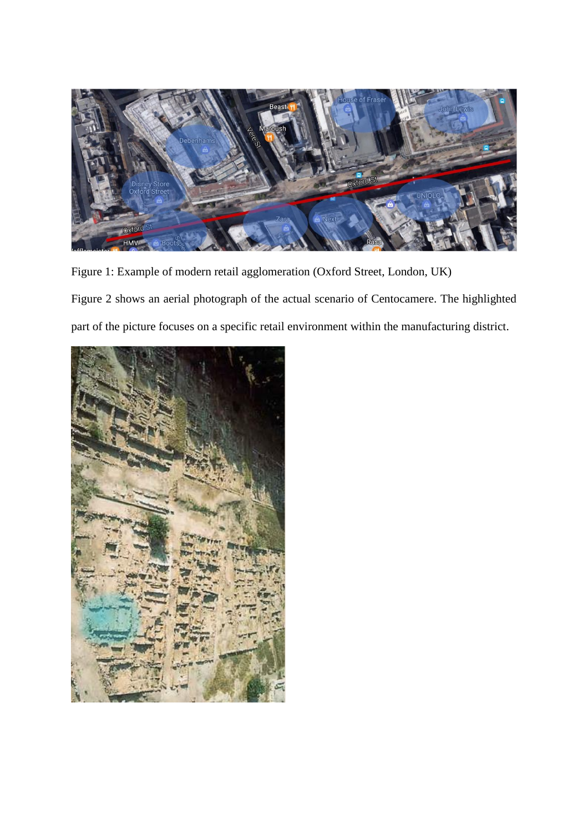

Figure 1: Example of modern retail agglomeration (Oxford Street, London, UK) Figure 2 shows an aerial photograph of the actual scenario of Centocamere. The highlighted part of the picture focuses on a specific retail environment within the manufacturing district.

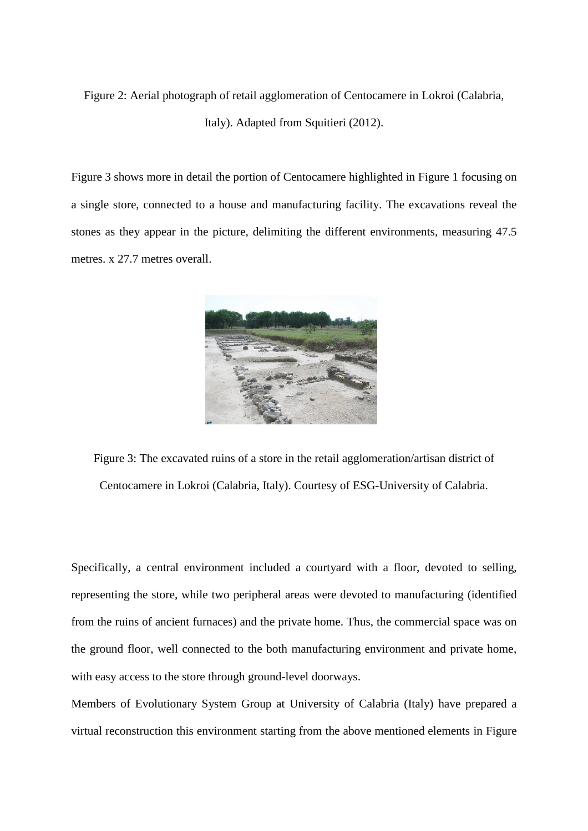Figure 2: Aerial photograph of retail agglomeration of Centocamere in Lokroi (Calabria, Italy). Adapted from Squitieri (2012).

Figure 3 shows more in detail the portion of Centocamere highlighted in Figure 1 focusing on a single store, connected to a house and manufacturing facility. The excavations reveal the stones as they appear in the picture, delimiting the different environments, measuring 47.5 metres. x 27.7 metres overall.



Figure 3: The excavated ruins of a store in the retail agglomeration/artisan district of Centocamere in Lokroi (Calabria, Italy). Courtesy of ESG-University of Calabria.

Specifically, a central environment included a courtyard with a floor, devoted to selling, representing the store, while two peripheral areas were devoted to manufacturing (identified from the ruins of ancient furnaces) and the private home. Thus, the commercial space was on the ground floor, well connected to the both manufacturing environment and private home, with easy access to the store through ground-level doorways.

Members of Evolutionary System Group at University of Calabria (Italy) have prepared a virtual reconstruction this environment starting from the above mentioned elements in Figure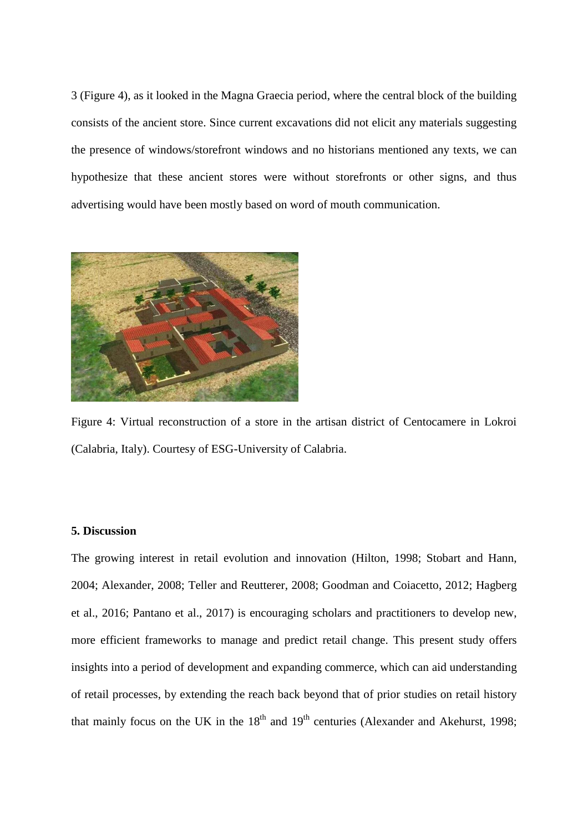3 (Figure 4), as it looked in the Magna Graecia period, where the central block of the building consists of the ancient store. Since current excavations did not elicit any materials suggesting the presence of windows/storefront windows and no historians mentioned any texts, we can hypothesize that these ancient stores were without storefronts or other signs, and thus advertising would have been mostly based on word of mouth communication.



Figure 4: Virtual reconstruction of a store in the artisan district of Centocamere in Lokroi (Calabria, Italy). Courtesy of ESG-University of Calabria.

#### **5. Discussion**

The growing interest in retail evolution and innovation (Hilton, 1998; Stobart and Hann, 2004; Alexander, 2008; Teller and Reutterer, 2008; Goodman and Coiacetto, 2012; Hagberg et al., 2016; Pantano et al., 2017) is encouraging scholars and practitioners to develop new, more efficient frameworks to manage and predict retail change. This present study offers insights into a period of development and expanding commerce, which can aid understanding of retail processes, by extending the reach back beyond that of prior studies on retail history that mainly focus on the UK in the  $18<sup>th</sup>$  and  $19<sup>th</sup>$  centuries (Alexander and Akehurst, 1998;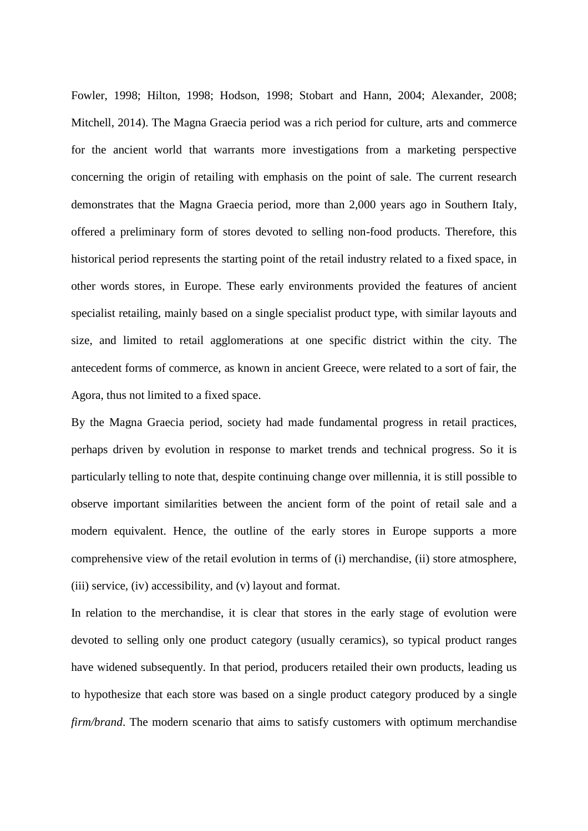Fowler, 1998; Hilton, 1998; Hodson, 1998; Stobart and Hann, 2004; Alexander, 2008; Mitchell, 2014). The Magna Graecia period was a rich period for culture, arts and commerce for the ancient world that warrants more investigations from a marketing perspective concerning the origin of retailing with emphasis on the point of sale. The current research demonstrates that the Magna Graecia period, more than 2,000 years ago in Southern Italy, offered a preliminary form of stores devoted to selling non-food products. Therefore, this historical period represents the starting point of the retail industry related to a fixed space, in other words stores, in Europe. These early environments provided the features of ancient specialist retailing, mainly based on a single specialist product type, with similar layouts and size, and limited to retail agglomerations at one specific district within the city. The antecedent forms of commerce, as known in ancient Greece, were related to a sort of fair, the Agora, thus not limited to a fixed space.

By the Magna Graecia period, society had made fundamental progress in retail practices, perhaps driven by evolution in response to market trends and technical progress. So it is particularly telling to note that, despite continuing change over millennia, it is still possible to observe important similarities between the ancient form of the point of retail sale and a modern equivalent. Hence, the outline of the early stores in Europe supports a more comprehensive view of the retail evolution in terms of (i) merchandise, (ii) store atmosphere, (iii) service, (iv) accessibility, and (v) layout and format.

In relation to the merchandise, it is clear that stores in the early stage of evolution were devoted to selling only one product category (usually ceramics), so typical product ranges have widened subsequently. In that period, producers retailed their own products, leading us to hypothesize that each store was based on a single product category produced by a single *firm/brand*. The modern scenario that aims to satisfy customers with optimum merchandise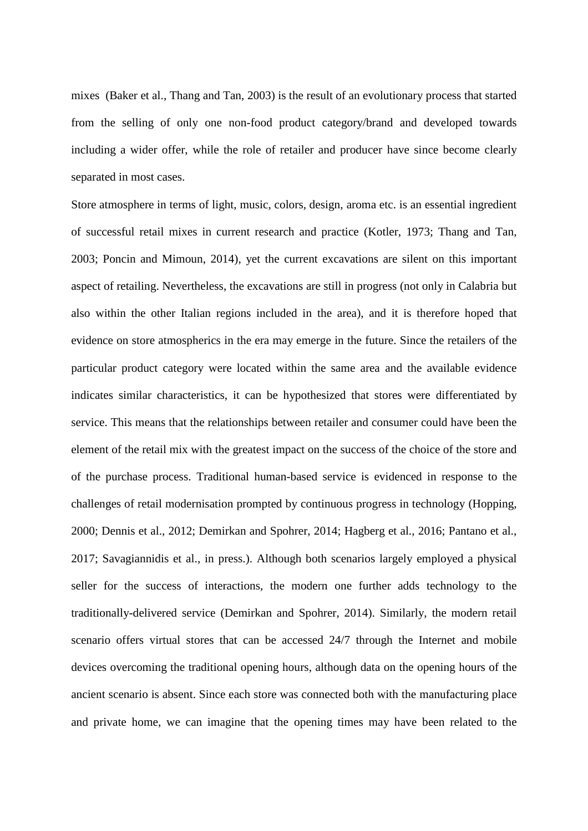mixes (Baker et al., Thang and Tan, 2003) is the result of an evolutionary process that started from the selling of only one non-food product category/brand and developed towards including a wider offer, while the role of retailer and producer have since become clearly separated in most cases.

Store atmosphere in terms of light, music, colors, design, aroma etc. is an essential ingredient of successful retail mixes in current research and practice (Kotler, 1973; Thang and Tan, 2003; Poncin and Mimoun, 2014), yet the current excavations are silent on this important aspect of retailing. Nevertheless, the excavations are still in progress (not only in Calabria but also within the other Italian regions included in the area), and it is therefore hoped that evidence on store atmospherics in the era may emerge in the future. Since the retailers of the particular product category were located within the same area and the available evidence indicates similar characteristics, it can be hypothesized that stores were differentiated by service. This means that the relationships between retailer and consumer could have been the element of the retail mix with the greatest impact on the success of the choice of the store and of the purchase process. Traditional human-based service is evidenced in response to the challenges of retail modernisation prompted by continuous progress in technology (Hopping, 2000; Dennis et al., 2012; Demirkan and Spohrer, 2014; Hagberg et al., 2016; Pantano et al., 2017; Savagiannidis et al., in press.). Although both scenarios largely employed a physical seller for the success of interactions, the modern one further adds technology to the traditionally-delivered service (Demirkan and Spohrer, 2014). Similarly, the modern retail scenario offers virtual stores that can be accessed 24/7 through the Internet and mobile devices overcoming the traditional opening hours, although data on the opening hours of the ancient scenario is absent. Since each store was connected both with the manufacturing place and private home, we can imagine that the opening times may have been related to the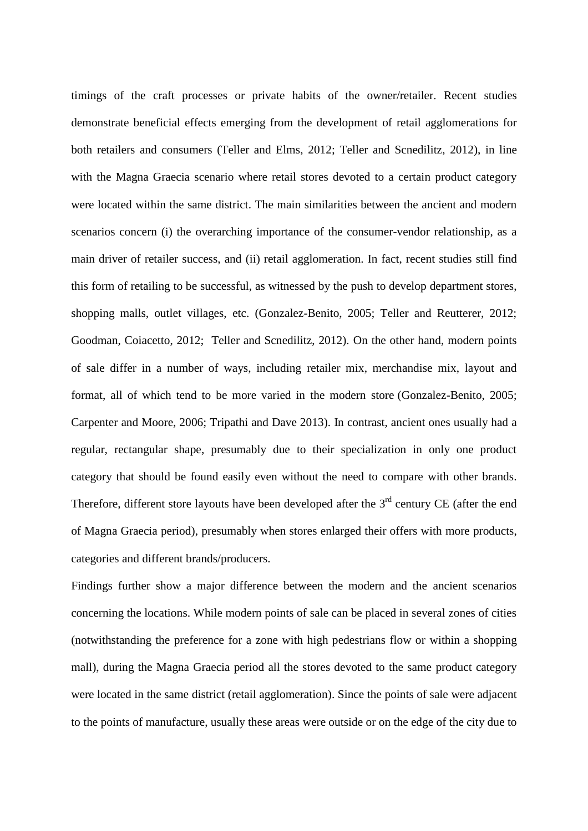timings of the craft processes or private habits of the owner/retailer. Recent studies demonstrate beneficial effects emerging from the development of retail agglomerations for both retailers and consumers (Teller and Elms, 2012; Teller and Scnedilitz, 2012), in line with the Magna Graecia scenario where retail stores devoted to a certain product category were located within the same district. The main similarities between the ancient and modern scenarios concern (i) the overarching importance of the consumer-vendor relationship, as a main driver of retailer success, and (ii) retail agglomeration. In fact, recent studies still find this form of retailing to be successful, as witnessed by the push to develop department stores, shopping malls, outlet villages, etc. (Gonzalez-Benito, 2005; Teller and Reutterer, 2012; Goodman, Coiacetto, 2012; Teller and Scnedilitz, 2012). On the other hand, modern points of sale differ in a number of ways, including retailer mix, merchandise mix, layout and format, all of which tend to be more varied in the modern store (Gonzalez-Benito, 2005; Carpenter and Moore, 2006; Tripathi and Dave 2013). In contrast, ancient ones usually had a regular, rectangular shape, presumably due to their specialization in only one product category that should be found easily even without the need to compare with other brands. Therefore, different store layouts have been developed after the  $3<sup>rd</sup>$  century CE (after the end of Magna Graecia period), presumably when stores enlarged their offers with more products, categories and different brands/producers.

Findings further show a major difference between the modern and the ancient scenarios concerning the locations. While modern points of sale can be placed in several zones of cities (notwithstanding the preference for a zone with high pedestrians flow or within a shopping mall), during the Magna Graecia period all the stores devoted to the same product category were located in the same district (retail agglomeration). Since the points of sale were adjacent to the points of manufacture, usually these areas were outside or on the edge of the city due to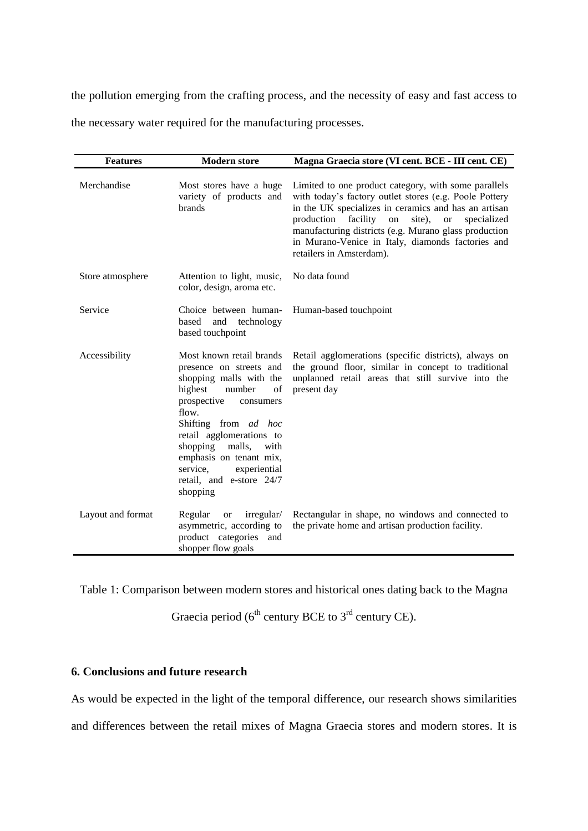the pollution emerging from the crafting process, and the necessity of easy and fast access to the necessary water required for the manufacturing processes.

| <b>Features</b>   | <b>Modern store</b>                                                                                                                                                                                                                                                                                                             | Magna Graecia store (VI cent. BCE - III cent. CE)                                                                                                                                                                                                                                                                                                                                   |
|-------------------|---------------------------------------------------------------------------------------------------------------------------------------------------------------------------------------------------------------------------------------------------------------------------------------------------------------------------------|-------------------------------------------------------------------------------------------------------------------------------------------------------------------------------------------------------------------------------------------------------------------------------------------------------------------------------------------------------------------------------------|
| Merchandise       | Most stores have a huge<br>variety of products and<br>brands                                                                                                                                                                                                                                                                    | Limited to one product category, with some parallels<br>with today's factory outlet stores (e.g. Poole Pottery<br>in the UK specializes in ceramics and has an artisan<br>production facility<br>site),<br>on<br>specialized<br><b>or</b><br>manufacturing districts (e.g. Murano glass production<br>in Murano-Venice in Italy, diamonds factories and<br>retailers in Amsterdam). |
| Store atmosphere  | Attention to light, music,<br>color, design, aroma etc.                                                                                                                                                                                                                                                                         | No data found                                                                                                                                                                                                                                                                                                                                                                       |
| Service           | Choice between human-<br>based<br>and technology<br>based touchpoint                                                                                                                                                                                                                                                            | Human-based touchpoint                                                                                                                                                                                                                                                                                                                                                              |
| Accessibility     | Most known retail brands<br>presence on streets and<br>shopping malls with the<br>highest<br>number<br>of<br>prospective<br>consumers<br>flow.<br>Shifting from ad hoc<br>retail agglomerations to<br>shopping<br>malls,<br>with<br>emphasis on tenant mix,<br>experiential<br>service.<br>retail, and e-store 24/7<br>shopping | Retail agglomerations (specific districts), always on<br>the ground floor, similar in concept to traditional<br>unplanned retail areas that still survive into the<br>present day                                                                                                                                                                                                   |
| Layout and format | Regular<br>irregular/<br><b>or</b><br>asymmetric, according to<br>product categories and<br>shopper flow goals                                                                                                                                                                                                                  | Rectangular in shape, no windows and connected to<br>the private home and artisan production facility.                                                                                                                                                                                                                                                                              |

Table 1: Comparison between modern stores and historical ones dating back to the Magna

Graecia period ( $6<sup>th</sup>$  century BCE to  $3<sup>rd</sup>$  century CE).

#### **6. Conclusions and future research**

As would be expected in the light of the temporal difference, our research shows similarities

and differences between the retail mixes of Magna Graecia stores and modern stores. It is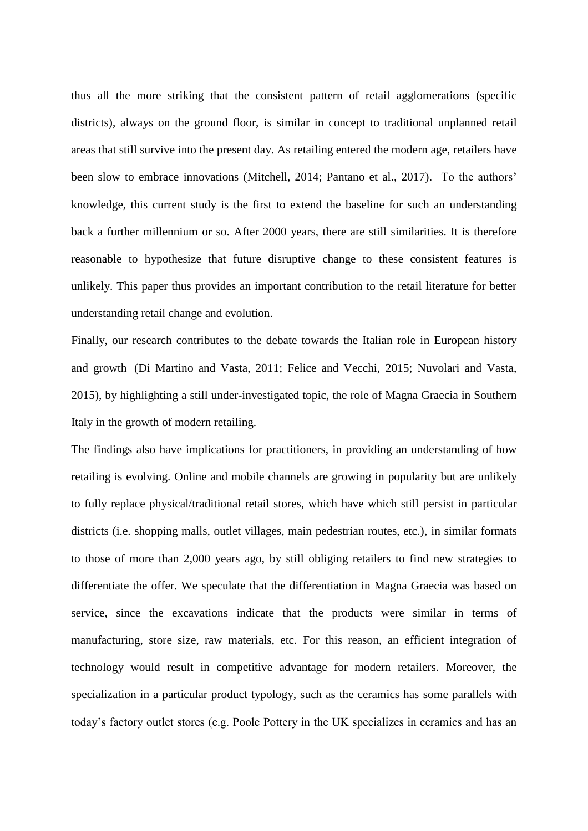thus all the more striking that the consistent pattern of retail agglomerations (specific districts), always on the ground floor, is similar in concept to traditional unplanned retail areas that still survive into the present day. As retailing entered the modern age, retailers have been slow to embrace innovations (Mitchell, 2014; Pantano et al., 2017). To the authors' knowledge, this current study is the first to extend the baseline for such an understanding back a further millennium or so. After 2000 years, there are still similarities. It is therefore reasonable to hypothesize that future disruptive change to these consistent features is unlikely. This paper thus provides an important contribution to the retail literature for better understanding retail change and evolution.

Finally, our research contributes to the debate towards the Italian role in European history and growth (Di Martino and Vasta, 2011; Felice and Vecchi, 2015; Nuvolari and Vasta, 2015), by highlighting a still under-investigated topic, the role of Magna Graecia in Southern Italy in the growth of modern retailing.

The findings also have implications for practitioners, in providing an understanding of how retailing is evolving. Online and mobile channels are growing in popularity but are unlikely to fully replace physical/traditional retail stores, which have which still persist in particular districts (i.e. shopping malls, outlet villages, main pedestrian routes, etc.), in similar formats to those of more than 2,000 years ago, by still obliging retailers to find new strategies to differentiate the offer. We speculate that the differentiation in Magna Graecia was based on service, since the excavations indicate that the products were similar in terms of manufacturing, store size, raw materials, etc. For this reason, an efficient integration of technology would result in competitive advantage for modern retailers. Moreover, the specialization in a particular product typology, such as the ceramics has some parallels with today's factory outlet stores (e.g. Poole Pottery in the UK specializes in ceramics and has an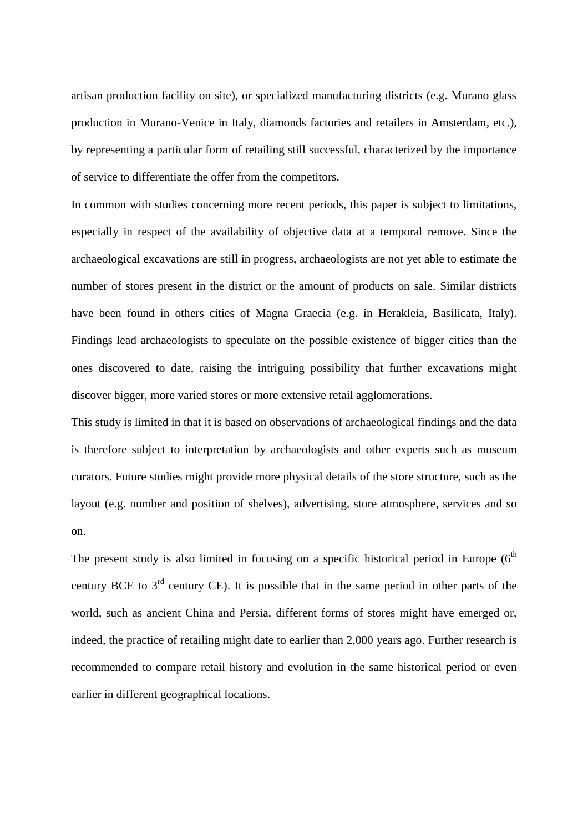artisan production facility on site), or specialized manufacturing districts (e.g. Murano glass production in Murano-Venice in Italy, diamonds factories and retailers in Amsterdam, etc.), by representing a particular form of retailing still successful, characterized by the importance of service to differentiate the offer from the competitors.

In common with studies concerning more recent periods, this paper is subject to limitations, especially in respect of the availability of objective data at a temporal remove. Since the archaeological excavations are still in progress, archaeologists are not yet able to estimate the number of stores present in the district or the amount of products on sale. Similar districts have been found in others cities of Magna Graecia (e.g. in Herakleia, Basilicata, Italy). Findings lead archaeologists to speculate on the possible existence of bigger cities than the ones discovered to date, raising the intriguing possibility that further excavations might discover bigger, more varied stores or more extensive retail agglomerations.

This study is limited in that it is based on observations of archaeological findings and the data is therefore subject to interpretation by archaeologists and other experts such as museum curators. Future studies might provide more physical details of the store structure, such as the layout (e.g. number and position of shelves), advertising, store atmosphere, services and so on.

The present study is also limited in focusing on a specific historical period in Europe  $(6<sup>th</sup>$ century BCE to  $3<sup>rd</sup>$  century CE). It is possible that in the same period in other parts of the world, such as ancient China and Persia, different forms of stores might have emerged or, indeed, the practice of retailing might date to earlier than 2,000 years ago. Further research is recommended to compare retail history and evolution in the same historical period or even earlier in different geographical locations.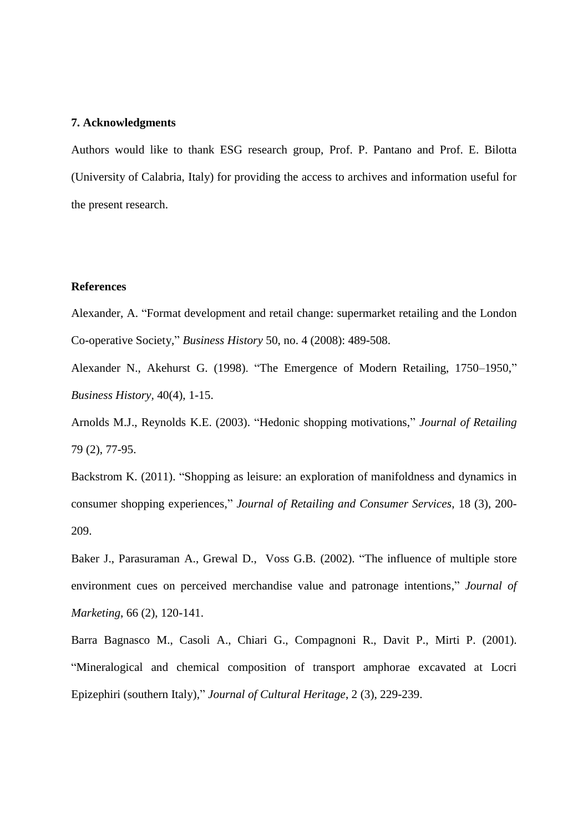#### **7. Acknowledgments**

Authors would like to thank ESG research group, Prof. P. Pantano and Prof. E. Bilotta (University of Calabria, Italy) for providing the access to archives and information useful for the present research.

#### **References**

Alexander, A. "Format development and retail change: supermarket retailing and the London Co-operative Society," *Business History* 50, no. 4 (2008): 489-508.

Alexander N., Akehurst G. (1998). "The Emergence of Modern Retailing, 1750–1950," *Business History,* 40(4), 1-15.

Arnolds M.J., Reynolds K.E. (2003). "Hedonic shopping motivations," *Journal of Retailing* 79 (2), 77-95.

Backstrom K. (2011). "Shopping as leisure: an exploration of manifoldness and dynamics in consumer shopping experiences," *Journal of Retailing and Consumer Services*, 18 (3), 200- 209.

Baker J., Parasuraman A., Grewal D., Voss G.B. (2002). "The influence of multiple store environment cues on perceived merchandise value and patronage intentions," *Journal of Marketing*, 66 (2), 120-141.

Barra Bagnasco M., Casoli A., Chiari G., Compagnoni R., Davit P., Mirti P. (2001). "Mineralogical and chemical composition of transport amphorae excavated at Locri Epizephiri (southern Italy)," *Journal of Cultural Heritage*, 2 (3), 229-239.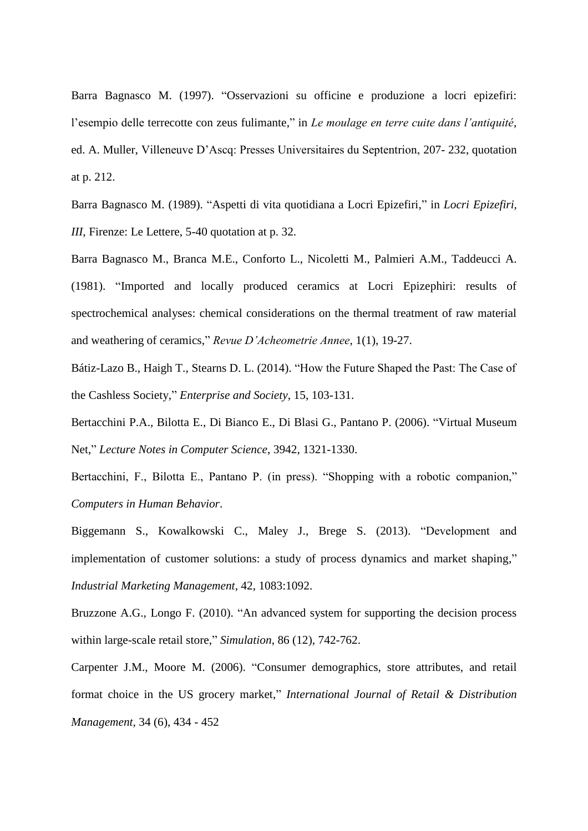Barra Bagnasco M. (1997). "Osservazioni su officine e produzione a locri epizefiri: l'esempio delle terrecotte con zeus fulimante," in *Le moulage en terre cuite dans l'antiquité*, ed. A. Muller, Villeneuve D'Ascq: Presses Universitaires du Septentrion, 207- 232, quotation at p. 212.

Barra Bagnasco M. (1989). "Aspetti di vita quotidiana a Locri Epizefiri," in *Locri Epizefiri, III*, Firenze: Le Lettere, 5-40 quotation at p. 32.

Barra Bagnasco M., Branca M.E., Conforto L., Nicoletti M., Palmieri A.M., Taddeucci A. (1981). "Imported and locally produced ceramics at Locri Epizephiri: results of spectrochemical analyses: chemical considerations on the thermal treatment of raw material and weathering of ceramics," *Revue D'Acheometrie Annee,* 1(1), 19-27.

Bátiz-Lazo B., Haigh T., Stearns D. L. (2014). "How the Future Shaped the Past: The Case of the Cashless Society," *Enterprise and Society*, 15, 103-131.

Bertacchini P.A., Bilotta E., Di Bianco E., Di Blasi G., Pantano P. (2006). "Virtual Museum Net," *Lecture Notes in Computer Science*, 3942, 1321-1330.

Bertacchini, F., Bilotta E., Pantano P. (in press). "Shopping with a robotic companion," *Computers in Human Behavior*.

Biggemann S., Kowalkowski C., Maley J., Brege S. (2013). "Development and implementation of customer solutions: a study of process dynamics and market shaping," *Industrial Marketing Management*, 42, 1083:1092.

Bruzzone A.G., Longo F. (2010). "An advanced system for supporting the decision process within large-scale retail store," *Simulation*, 86 (12), 742-762.

Carpenter J.M., Moore M. (2006). "Consumer demographics, store attributes, and retail format choice in the US grocery market," *International Journal of Retail & Distribution Management*, 34 (6), 434 - 452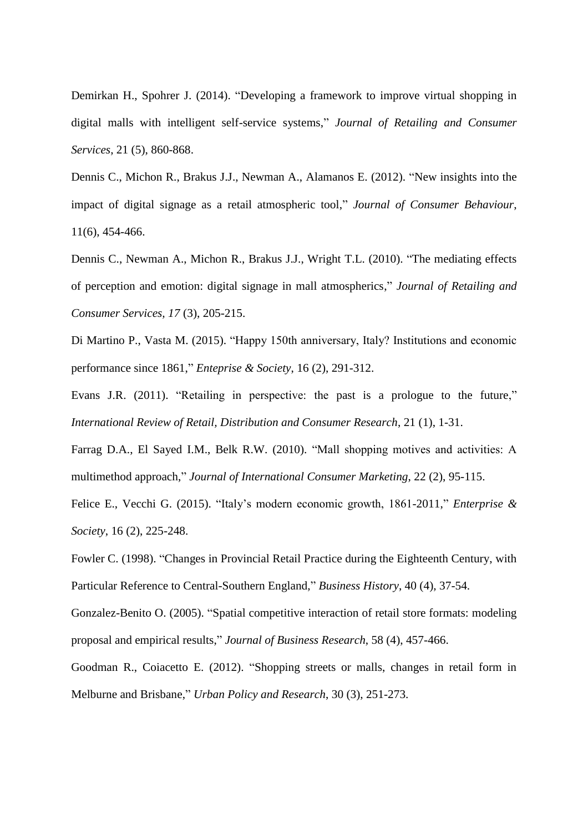Demirkan H., Spohrer J. (2014). "Developing a framework to improve virtual shopping in digital malls with intelligent self-service systems," *Journal of Retailing and Consumer Services*, 21 (5), 860-868.

Dennis C., Michon R., Brakus J.J., Newman A., Alamanos E. (2012). "New insights into the impact of digital signage as a retail atmospheric tool," *Journal of Consumer Behaviour*, 11(6), 454-466.

Dennis C., Newman A., Michon R., Brakus J.J., Wright T.L. (2010). "The mediating effects of perception and emotion: digital signage in mall atmospherics," *Journal of Retailing and Consumer Services, 17* (3), 205-215.

Di Martino P., Vasta M. (2015). "Happy 150th anniversary, Italy? Institutions and economic performance since 1861," *Enteprise & Society*, 16 (2), 291-312.

Evans J.R. (2011). "Retailing in perspective: the past is a prologue to the future," *International Review of Retail, Distribution and Consumer Research*, 21 (1), 1-31.

Farrag D.A., El Sayed I.M., Belk R.W. (2010). "Mall shopping motives and activities: A multimethod approach," *Journal of International Consumer Marketing*, 22 (2), 95-115.

Felice E., Vecchi G. (2015). "Italy's modern economic growth, 1861-2011," *Enterprise & Society*, 16 (2), 225-248.

Fowler C. (1998). "Changes in Provincial Retail Practice during the Eighteenth Century, with Particular Reference to Central-Southern England," *Business History*, 40 (4), 37-54.

Gonzalez-Benito O. (2005). "Spatial competitive interaction of retail store formats: modeling proposal and empirical results," *Journal of Business Research*, 58 (4), 457-466.

Goodman R., Coiacetto E. (2012). "Shopping streets or malls, changes in retail form in Melburne and Brisbane," *Urban Policy and Research*, 30 (3), 251-273.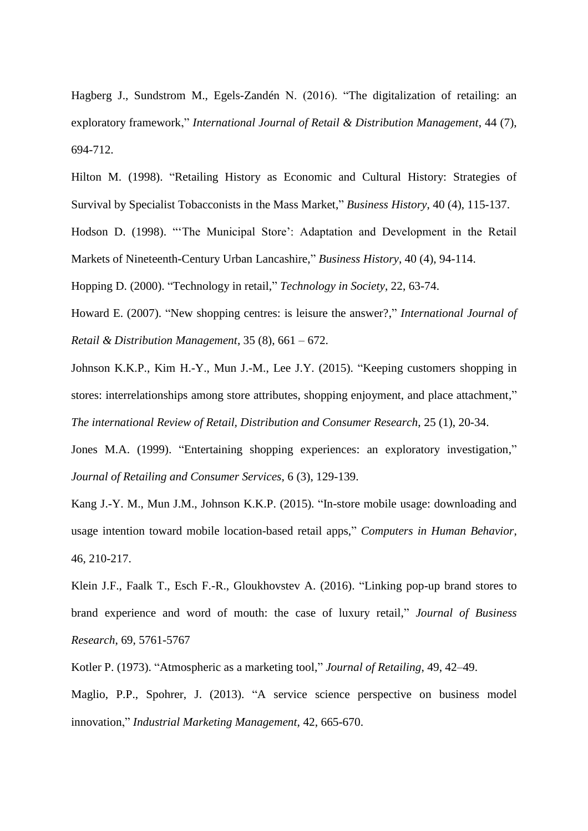Hagberg J., Sundstrom M., Egels-Zandén N. (2016). "The digitalization of retailing: an exploratory framework," *International Journal of Retail & Distribution Management*, 44 (7), 694-712.

Hilton M. (1998). "Retailing History as Economic and Cultural History: Strategies of Survival by Specialist Tobacconists in the Mass Market," *Business History*, 40 (4), 115-137. Hodson D. (1998). "'The Municipal Store': Adaptation and Development in the Retail Markets of Nineteenth-Century Urban Lancashire," *Business History*, 40 (4), 94-114.

Hopping D. (2000). "Technology in retail," *Technology in Society*, 22, 63-74.

Howard E. (2007). "New shopping centres: is leisure the answer?," *International Journal of Retail & Distribution Management*, 35 (8), 661 – 672.

Johnson K.K.P., Kim H.-Y., Mun J.-M., Lee J.Y. (2015). "Keeping customers shopping in stores: interrelationships among store attributes, shopping enjoyment, and place attachment," *The international Review of Retail, Distribution and Consumer Research*, 25 (1), 20-34.

Jones M.A. (1999). "Entertaining shopping experiences: an exploratory investigation," *Journal of Retailing and Consumer Services*, 6 (3), 129-139.

Kang J.-Y. M., Mun J.M., Johnson K.K.P. (2015). "In-store mobile usage: downloading and usage intention toward mobile location-based retail apps," *Computers in Human Behavior*, 46, 210-217.

Klein J.F., Faalk T., Esch F.-R., Gloukhovstev A. (2016). "Linking pop-up brand stores to brand experience and word of mouth: the case of luxury retail," *Journal of Business Research*, 69, 5761-5767

Kotler P. (1973). "Atmospheric as a marketing tool," *Journal of Retailing*, 49, 42–49.

Maglio, P.P., Spohrer, J. (2013). "A service science perspective on business model innovation," *Industrial Marketing Management*, 42, 665-670.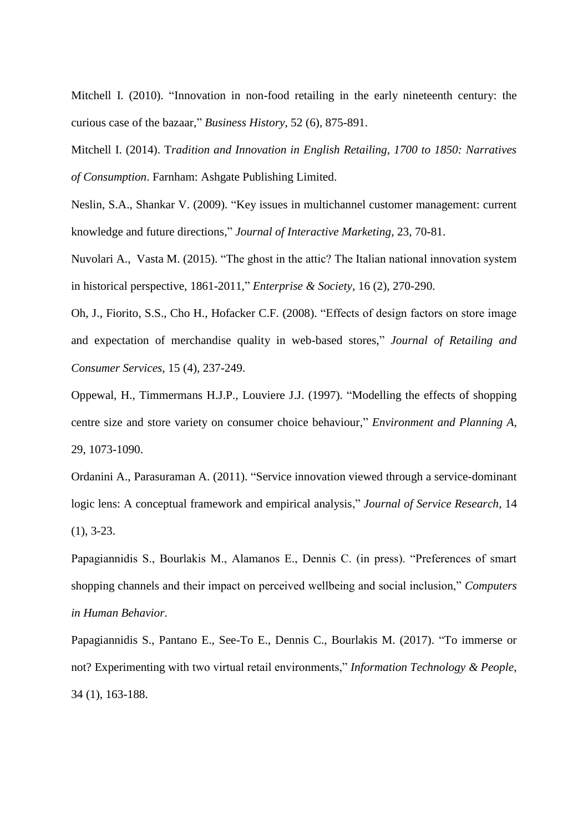Mitchell I. (2010). "Innovation in non-food retailing in the early nineteenth century: the curious case of the bazaar," *Business History*, 52 (6), 875-891.

Mitchell I. (2014). T*radition and Innovation in English Retailing, 1700 to 1850: Narratives of Consumption*. Farnham: Ashgate Publishing Limited.

Neslin, S.A., Shankar V. (2009). "Key issues in multichannel customer management: current knowledge and future directions," *Journal of Interactive Marketing*, 23, 70-81.

Nuvolari A., Vasta M. (2015). "The ghost in the attic? The Italian national innovation system in historical perspective, 1861-2011," *Enterprise & Society*, 16 (2), 270-290.

Oh, J., Fiorito, S.S., Cho H., Hofacker C.F. (2008). "Effects of design factors on store image and expectation of merchandise quality in web-based stores," *Journal of Retailing and Consumer Services*, 15 (4), 237-249.

Oppewal, H., Timmermans H.J.P., Louviere J.J. (1997). "Modelling the effects of shopping centre size and store variety on consumer choice behaviour," *Environment and Planning A*, 29, 1073-1090.

Ordanini A., Parasuraman A. (2011). "Service innovation viewed through a service-dominant logic lens: A conceptual framework and empirical analysis," *Journal of Service Research*, 14 (1), 3-23.

Papagiannidis S., Bourlakis M., Alamanos E., Dennis C. (in press). "Preferences of smart shopping channels and their impact on perceived wellbeing and social inclusion," *Computers in Human Behavior*.

Papagiannidis S., Pantano E., See-To E., Dennis C., Bourlakis M. (2017). "To immerse or not? Experimenting with two virtual retail environments," *Information Technology & People*, 34 (1), 163-188.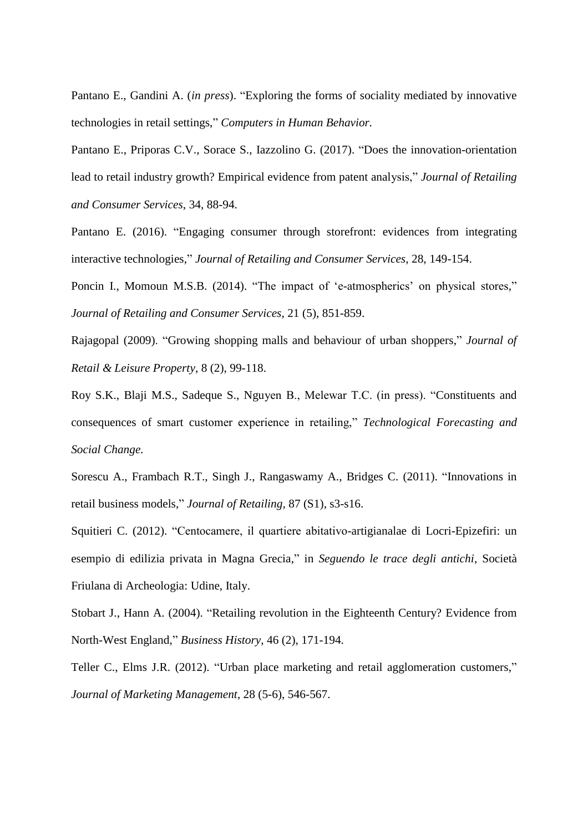Pantano E., Gandini A. (*in press*). "Exploring the forms of sociality mediated by innovative technologies in retail settings," *Computers in Human Behavior.*

Pantano E., Priporas C.V., Sorace S., Iazzolino G. (2017). "Does the innovation-orientation lead to retail industry growth? Empirical evidence from patent analysis," *Journal of Retailing and Consumer Services*, 34, 88-94.

Pantano E. (2016). "Engaging consumer through storefront: evidences from integrating interactive technologies," *Journal of Retailing and Consumer Services*, 28, 149-154.

Poncin I., Momoun M.S.B. (2014). "The impact of 'e-atmospherics' on physical stores," *Journal of Retailing and Consumer Services*, 21 (5), 851-859.

Rajagopal (2009). "Growing shopping malls and behaviour of urban shoppers," *Journal of Retail & Leisure Property*, 8 (2), 99-118.

Roy S.K., Blaji M.S., Sadeque S., Nguyen B., Melewar T.C. (in press). "Constituents and consequences of smart customer experience in retailing," *Technological Forecasting and Social Change.*

Sorescu A., Frambach R.T., Singh J., Rangaswamy A., Bridges C. (2011). "Innovations in retail business models," *Journal of Retailing,* 87 (S1), s3-s16.

Squitieri C. (2012). "Centocamere, il quartiere abitativo-artigianalae di Locri-Epizefiri: un esempio di edilizia privata in Magna Grecia," in *Seguendo le trace degli antichi*, Società Friulana di Archeologia: Udine, Italy.

Stobart J., Hann A. (2004). "Retailing revolution in the Eighteenth Century? Evidence from North-West England," *Business History*, 46 (2), 171-194.

Teller C., Elms J.R. (2012). "Urban place marketing and retail agglomeration customers," *Journal of Marketing Management*, 28 (5-6), 546-567.